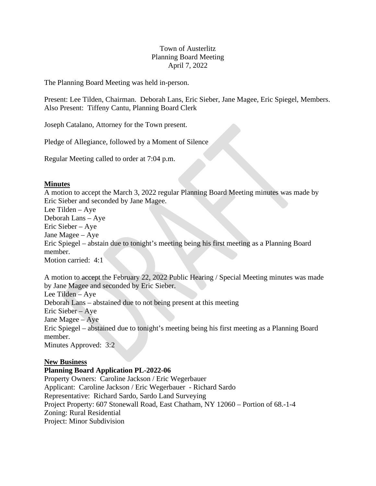# Town of Austerlitz Planning Board Meeting April 7, 2022

The Planning Board Meeting was held in-person.

Present: Lee Tilden, Chairman. Deborah Lans, Eric Sieber, Jane Magee, Eric Spiegel, Members. Also Present: Tiffeny Cantu, Planning Board Clerk

Joseph Catalano, Attorney for the Town present.

Pledge of Allegiance, followed by a Moment of Silence

Regular Meeting called to order at 7:04 p.m.

### **Minutes**

A motion to accept the March 3, 2022 regular Planning Board Meeting minutes was made by Eric Sieber and seconded by Jane Magee. Lee Tilden – Aye

Deborah Lans – Aye

Eric Sieber – Aye

Jane Magee – Aye

Eric Spiegel – abstain due to tonight's meeting being his first meeting as a Planning Board member.

Motion carried: 4:1

A motion to accept the February 22, 2022 Public Hearing / Special Meeting minutes was made by Jane Magee and seconded by Eric Sieber.

Lee Tilden – Aye Deborah Lans – abstained due to not being present at this meeting

Eric Sieber – Aye Jane Magee – Aye

Eric Spiegel – abstained due to tonight's meeting being his first meeting as a Planning Board member.

Minutes Approved: 3:2

### **New Business**

### **Planning Board Application PL-2022-06**

Property Owners: Caroline Jackson / Eric Wegerbauer Applicant: Caroline Jackson / Eric Wegerbauer - Richard Sardo Representative: Richard Sardo, Sardo Land Surveying Project Property: 607 Stonewall Road, East Chatham, NY 12060 – Portion of 68.-1-4 Zoning: Rural Residential Project: Minor Subdivision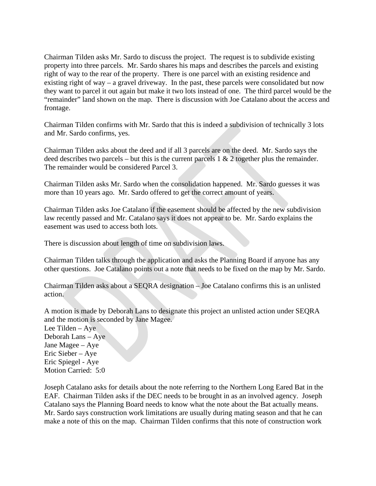Chairman Tilden asks Mr. Sardo to discuss the project. The request is to subdivide existing property into three parcels. Mr. Sardo shares his maps and describes the parcels and existing right of way to the rear of the property. There is one parcel with an existing residence and existing right of way – a gravel driveway. In the past, these parcels were consolidated but now they want to parcel it out again but make it two lots instead of one. The third parcel would be the "remainder" land shown on the map. There is discussion with Joe Catalano about the access and frontage.

Chairman Tilden confirms with Mr. Sardo that this is indeed a subdivision of technically 3 lots and Mr. Sardo confirms, yes.

Chairman Tilden asks about the deed and if all 3 parcels are on the deed. Mr. Sardo says the deed describes two parcels – but this is the current parcels  $1 \& 2$  together plus the remainder. The remainder would be considered Parcel 3.

Chairman Tilden asks Mr. Sardo when the consolidation happened. Mr. Sardo guesses it was more than 10 years ago. Mr. Sardo offered to get the correct amount of years.

Chairman Tilden asks Joe Catalano if the easement should be affected by the new subdivision law recently passed and Mr. Catalano says it does not appear to be. Mr. Sardo explains the easement was used to access both lots.

There is discussion about length of time on subdivision laws.

Chairman Tilden talks through the application and asks the Planning Board if anyone has any other questions. Joe Catalano points out a note that needs to be fixed on the map by Mr. Sardo.

Chairman Tilden asks about a SEQRA designation – Joe Catalano confirms this is an unlisted action.

A motion is made by Deborah Lans to designate this project an unlisted action under SEQRA and the motion is seconded by Jane Magee.

Lee Tilden – Aye Deborah Lans – Aye Jane Magee – Aye Eric Sieber – Aye Eric Spiegel - Aye Motion Carried: 5:0

Joseph Catalano asks for details about the note referring to the Northern Long Eared Bat in the EAF. Chairman Tilden asks if the DEC needs to be brought in as an involved agency. Joseph Catalano says the Planning Board needs to know what the note about the Bat actually means. Mr. Sardo says construction work limitations are usually during mating season and that he can make a note of this on the map. Chairman Tilden confirms that this note of construction work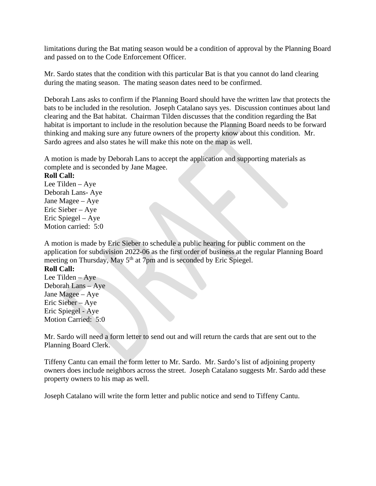limitations during the Bat mating season would be a condition of approval by the Planning Board and passed on to the Code Enforcement Officer.

Mr. Sardo states that the condition with this particular Bat is that you cannot do land clearing during the mating season. The mating season dates need to be confirmed.

Deborah Lans asks to confirm if the Planning Board should have the written law that protects the bats to be included in the resolution. Joseph Catalano says yes. Discussion continues about land clearing and the Bat habitat. Chairman Tilden discusses that the condition regarding the Bat habitat is important to include in the resolution because the Planning Board needs to be forward thinking and making sure any future owners of the property know about this condition. Mr. Sardo agrees and also states he will make this note on the map as well.

A motion is made by Deborah Lans to accept the application and supporting materials as complete and is seconded by Jane Magee.

### **Roll Call:**

Lee Tilden – Aye Deborah Lans- Aye Jane Magee – Aye Eric Sieber – Aye Eric Spiegel – Aye Motion carried: 5:0

A motion is made by Eric Sieber to schedule a public hearing for public comment on the application for subdivision 2022-06 as the first order of business at the regular Planning Board meeting on Thursday, May 5<sup>th</sup> at 7pm and is seconded by Eric Spiegel.

### **Roll Call:**

Lee Tilden – Aye Deborah Lans – Aye Jane Magee – Aye Eric Sieber – Aye Eric Spiegel - Aye Motion Carried: 5:0

Mr. Sardo will need a form letter to send out and will return the cards that are sent out to the Planning Board Clerk.

Tiffeny Cantu can email the form letter to Mr. Sardo. Mr. Sardo's list of adjoining property owners does include neighbors across the street. Joseph Catalano suggests Mr. Sardo add these property owners to his map as well.

Joseph Catalano will write the form letter and public notice and send to Tiffeny Cantu.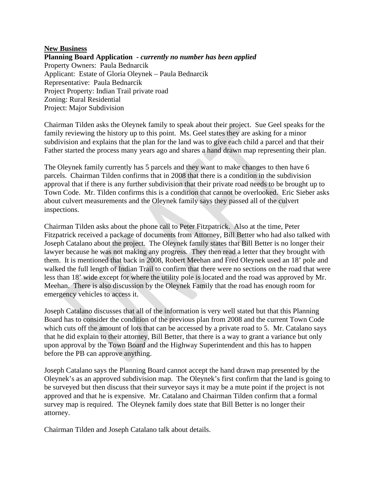#### **New Business**

**Planning Board Application -** *currently no number has been applied* Property Owners: Paula Bednarcik Applicant: Estate of Gloria Oleynek – Paula Bednarcik Representative: Paula Bednarcik Project Property: Indian Trail private road Zoning: Rural Residential Project: Major Subdivision

Chairman Tilden asks the Oleynek family to speak about their project. Sue Geel speaks for the family reviewing the history up to this point. Ms. Geel states they are asking for a minor subdivision and explains that the plan for the land was to give each child a parcel and that their Father started the process many years ago and shares a hand drawn map representing their plan.

The Oleynek family currently has 5 parcels and they want to make changes to then have 6 parcels. Chairman Tilden confirms that in 2008 that there is a condition in the subdivision approval that if there is any further subdivision that their private road needs to be brought up to Town Code. Mr. Tilden confirms this is a condition that cannot be overlooked. Eric Sieber asks about culvert measurements and the Oleynek family says they passed all of the culvert inspections.

Chairman Tilden asks about the phone call to Peter Fitzpatrick. Also at the time, Peter Fitzpatrick received a package of documents from Attorney, Bill Better who had also talked with Joseph Catalano about the project. The Oleynek family states that Bill Better is no longer their lawyer because he was not making any progress. They then read a letter that they brought with them. It is mentioned that back in 2008, Robert Meehan and Fred Oleynek used an 18' pole and walked the full length of Indian Trail to confirm that there were no sections on the road that were less than 18' wide except for where the utility pole is located and the road was approved by Mr. Meehan. There is also discussion by the Oleynek Family that the road has enough room for emergency vehicles to access it.

Joseph Catalano discusses that all of the information is very well stated but that this Planning Board has to consider the condition of the previous plan from 2008 and the current Town Code which cuts off the amount of lots that can be accessed by a private road to 5. Mr. Catalano says that he did explain to their attorney, Bill Better, that there is a way to grant a variance but only upon approval by the Town Board and the Highway Superintendent and this has to happen before the PB can approve anything.

Joseph Catalano says the Planning Board cannot accept the hand drawn map presented by the Oleynek's as an approved subdivision map. The Oleynek's first confirm that the land is going to be surveyed but then discuss that their surveyor says it may be a mute point if the project is not approved and that he is expensive. Mr. Catalano and Chairman Tilden confirm that a formal survey map is required. The Oleynek family does state that Bill Better is no longer their attorney.

Chairman Tilden and Joseph Catalano talk about details.